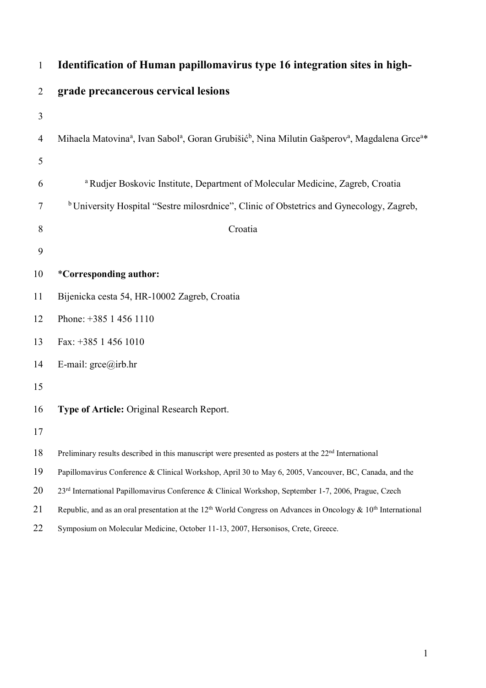| $\mathbf{1}$   | Identification of Human papillomavirus type 16 integration sites in high-                                                                                 |
|----------------|-----------------------------------------------------------------------------------------------------------------------------------------------------------|
| $\overline{2}$ | grade precancerous cervical lesions                                                                                                                       |
| 3              |                                                                                                                                                           |
| $\overline{4}$ | Mihaela Matovina <sup>a</sup> , Ivan Sabol <sup>a</sup> , Goran Grubišić <sup>b</sup> , Nina Milutin Gašperov <sup>a</sup> , Magdalena Grce <sup>a*</sup> |
| 5              |                                                                                                                                                           |
| 6              | <sup>a</sup> Rudjer Boskovic Institute, Department of Molecular Medicine, Zagreb, Croatia                                                                 |
| $\tau$         | <sup>b</sup> University Hospital "Sestre milosrdnice", Clinic of Obstetrics and Gynecology, Zagreb,                                                       |
| 8              | Croatia                                                                                                                                                   |
| 9              |                                                                                                                                                           |
| 10             | <i>*Corresponding author:</i>                                                                                                                             |
| 11             | Bijenicka cesta 54, HR-10002 Zagreb, Croatia                                                                                                              |
| 12             | Phone: +385 1 456 1110                                                                                                                                    |
| 13             | Fax: +385 1 456 1010                                                                                                                                      |
| 14             | E-mail: $\text{gree}(\widehat{a})$ irb.hr                                                                                                                 |
| 15             |                                                                                                                                                           |
| 16             | Type of Article: Original Research Report.                                                                                                                |
| 17             |                                                                                                                                                           |
| 18             | Preliminary results described in this manuscript were presented as posters at the 22 <sup>nd</sup> International                                          |
| 19             | Papillomavirus Conference & Clinical Workshop, April 30 to May 6, 2005, Vancouver, BC, Canada, and the                                                    |
| 20             | 23 <sup>rd</sup> International Papillomavirus Conference & Clinical Workshop, September 1-7, 2006, Prague, Czech                                          |
| 21             | Republic, and as an oral presentation at the 12 <sup>th</sup> World Congress on Advances in Oncology & 10 <sup>th</sup> International                     |
| 22             | Symposium on Molecular Medicine, October 11-13, 2007, Hersonisos, Crete, Greece.                                                                          |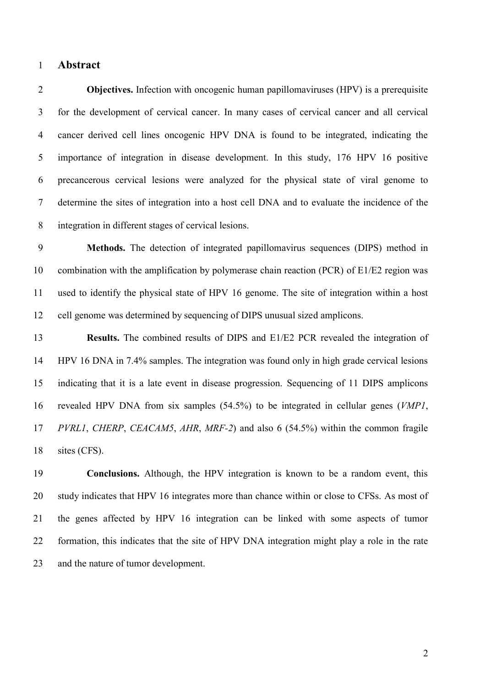#### **Abstract**

**Objectives.** Infection with oncogenic human papillomaviruses (HPV) is a prerequisite for the development of cervical cancer. In many cases of cervical cancer and all cervical cancer derived cell lines oncogenic HPV DNA is found to be integrated, indicating the importance of integration in disease development. In this study, 176 HPV 16 positive precancerous cervical lesions were analyzed for the physical state of viral genome to determine the sites of integration into a host cell DNA and to evaluate the incidence of the integration in different stages of cervical lesions.

 **Methods.** The detection of integrated papillomavirus sequences (DIPS) method in combination with the amplification by polymerase chain reaction (PCR) of E1/E2 region was used to identify the physical state of HPV 16 genome. The site of integration within a host cell genome was determined by sequencing of DIPS unusual sized amplicons.

 **Results.** The combined results of DIPS and E1/E2 PCR revealed the integration of HPV 16 DNA in 7.4% samples. The integration was found only in high grade cervical lesions indicating that it is a late event in disease progression. Sequencing of 11 DIPS amplicons revealed HPV DNA from six samples (54.5%) to be integrated in cellular genes (*VMP1*, *PVRL1*, *CHERP*, *CEACAM5*, *AHR*, *MRF-2*) and also 6 (54.5%) within the common fragile 18 sites (CFS).

 **Conclusions.** Although, the HPV integration is known to be a random event, this study indicates that HPV 16 integrates more than chance within or close to CFSs. As most of the genes affected by HPV 16 integration can be linked with some aspects of tumor formation, this indicates that the site of HPV DNA integration might play a role in the rate and the nature of tumor development.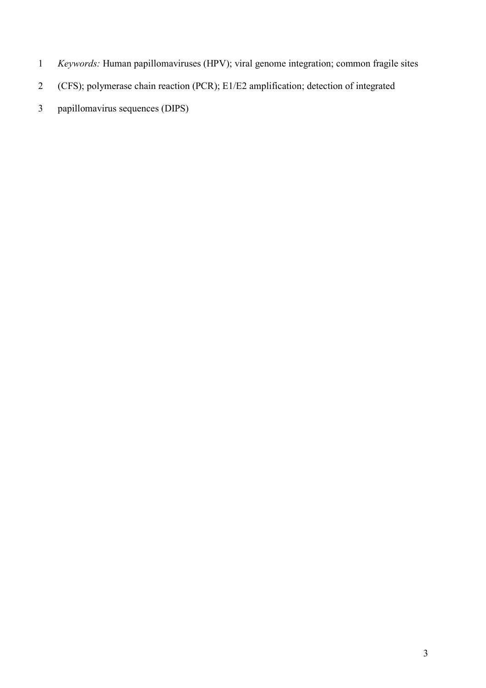- *Keywords:* Human papillomaviruses (HPV); viral genome integration; common fragile sites
- (CFS); polymerase chain reaction (PCR); E1/E2 amplification; detection of integrated
- papillomavirus sequences (DIPS)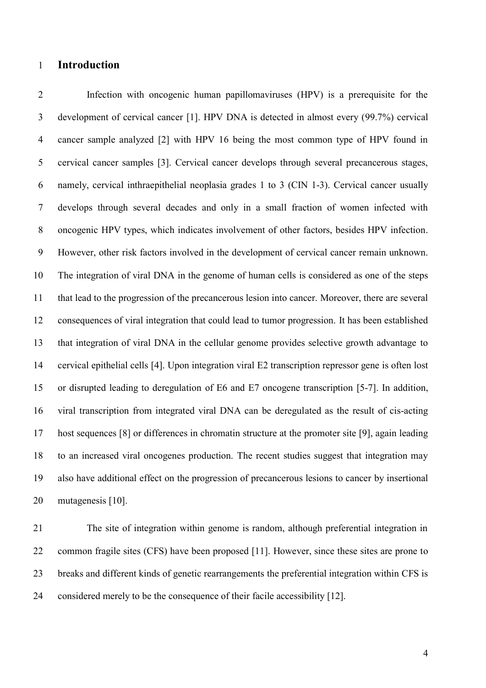### **Introduction**

 Infection with oncogenic human papillomaviruses (HPV) is a prerequisite for the development of cervical cancer [1]. HPV DNA is detected in almost every (99.7%) cervical cancer sample analyzed [2] with HPV 16 being the most common type of HPV found in cervical cancer samples [3]. Cervical cancer develops through several precancerous stages, namely, cervical inthraepithelial neoplasia grades 1 to 3 (CIN 1-3). Cervical cancer usually develops through several decades and only in a small fraction of women infected with oncogenic HPV types, which indicates involvement of other factors, besides HPV infection. However, other risk factors involved in the development of cervical cancer remain unknown. The integration of viral DNA in the genome of human cells is considered as one of the steps that lead to the progression of the precancerous lesion into cancer. Moreover, there are several consequences of viral integration that could lead to tumor progression. It has been established that integration of viral DNA in the cellular genome provides selective growth advantage to cervical epithelial cells [4]. Upon integration viral E2 transcription repressor gene is often lost or disrupted leading to deregulation of E6 and E7 oncogene transcription [5-7]. In addition, viral transcription from integrated viral DNA can be deregulated as the result of cis-acting host sequences [8] or differences in chromatin structure at the promoter site [9], again leading to an increased viral oncogenes production. The recent studies suggest that integration may also have additional effect on the progression of precancerous lesions to cancer by insertional mutagenesis [10].

 The site of integration within genome is random, although preferential integration in common fragile sites (CFS) have been proposed [11]. However, since these sites are prone to breaks and different kinds of genetic rearrangements the preferential integration within CFS is considered merely to be the consequence of their facile accessibility [12].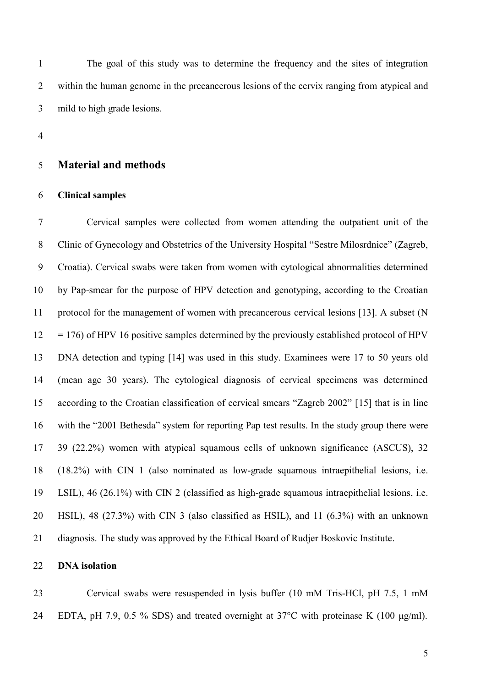The goal of this study was to determine the frequency and the sites of integration within the human genome in the precancerous lesions of the cervix ranging from atypical and mild to high grade lesions.

#### **Material and methods**

#### **Clinical samples**

 Cervical samples were collected from women attending the outpatient unit of the Clinic of Gynecology and Obstetrics of the University Hospital "Sestre Milosrdnice" (Zagreb, Croatia). Cervical swabs were taken from women with cytological abnormalities determined by Pap-smear for the purpose of HPV detection and genotyping, according to the Croatian protocol for the management of women with precancerous cervical lesions [13]. A subset (N  $12 = 176$ ) of HPV 16 positive samples determined by the previously established protocol of HPV DNA detection and typing [14] was used in this study. Examinees were 17 to 50 years old (mean age 30 years). The cytological diagnosis of cervical specimens was determined according to the Croatian classification of cervical smears "Zagreb 2002" [15] that is in line with the "2001 Bethesda" system for reporting Pap test results. In the study group there were 39 (22.2%) women with atypical squamous cells of unknown significance (ASCUS), 32 (18.2%) with CIN 1 (also nominated as low-grade squamous intraepithelial lesions, i.e. LSIL), 46 (26.1%) with CIN 2 (classified as high-grade squamous intraepithelial lesions, i.e. HSIL), 48 (27.3%) with CIN 3 (also classified as HSIL), and 11 (6.3%) with an unknown diagnosis. The study was approved by the Ethical Board of Rudjer Boskovic Institute.

#### **DNA isolation**

 Cervical swabs were resuspended in lysis buffer (10 mM Tris-HCl, pH 7.5, 1 mM EDTA, pH 7.9, 0.5 % SDS) and treated overnight at 37°C with proteinase K (100 μg/ml).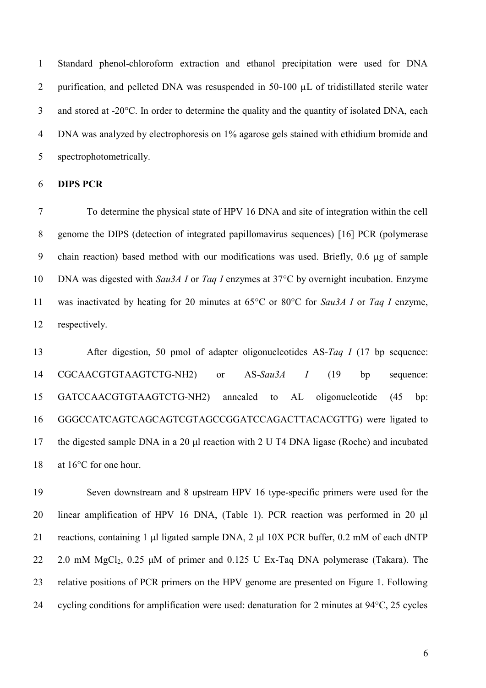Standard phenol-chloroform extraction and ethanol precipitation were used for DNA 2 purification, and pelleted DNA was resuspended in  $50-100 \mu L$  of tridistillated sterile water and stored at -20 $^{\circ}$ C. In order to determine the quality and the quantity of isolated DNA, each DNA was analyzed by electrophoresis on 1% agarose gels stained with ethidium bromide and spectrophotometrically.

### **DIPS PCR**

 To determine the physical state of HPV 16 DNA and site of integration within the cell genome the DIPS (detection of integrated papillomavirus sequences) [16] PCR (polymerase chain reaction) based method with our modifications was used. Briefly, 0.6 μg of sample DNA was digested with *Sau3A I* or *Taq I* enzymes at 37°C by overnight incubation. Enzyme was inactivated by heating for 20 minutes at 65°C or 80°C for *Sau3A I* or *Taq I* enzyme, respectively.

 After digestion, 50 pmol of adapter oligonucleotides AS-*Taq I* (17 bp sequence: CGCAACGTGTAAGTCTG-NH2) or AS-*Sau3A I* (19 bp sequence: GATCCAACGTGTAAGTCTG-NH2) annealed to AL oligonucleotide (45 bp: GGGCCATCAGTCAGCAGTCGTAGCCGGATCCAGACTTACACGTTG) were ligated to the digested sample DNA in a 20 μl reaction with 2 U T4 DNA ligase (Roche) and incubated 18 at 16°C for one hour.

 Seven downstream and 8 upstream HPV 16 type-specific primers were used for the linear amplification of HPV 16 DNA, (Table 1). PCR reaction was performed in 20 μl reactions, containing 1 μl ligated sample DNA, 2 μl 10X PCR buffer, 0.2 mM of each dNTP 22 2.0 mM MgCl<sub>2</sub>, 0.25  $\mu$ M of primer and 0.125 U Ex-Taq DNA polymerase (Takara). The relative positions of PCR primers on the HPV genome are presented on Figure 1. Following cycling conditions for amplification were used: denaturation for 2 minutes at 94°C, 25 cycles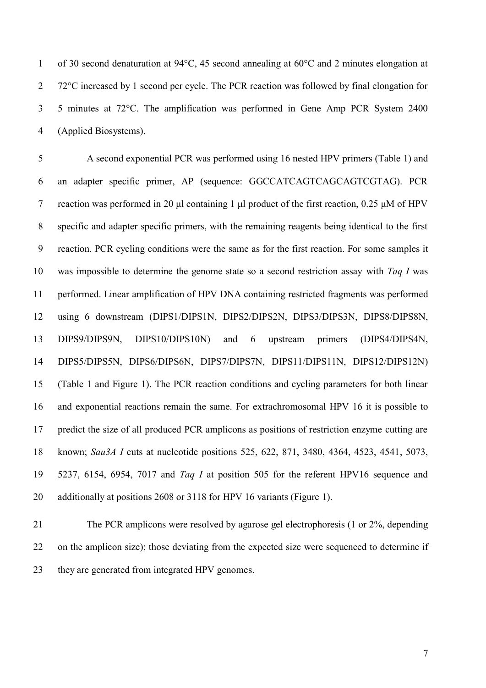of 30 second denaturation at 94°C, 45 second annealing at 60°C and 2 minutes elongation at 2 72°C increased by 1 second per cycle. The PCR reaction was followed by final elongation for 5 minutes at 72°C. The amplification was performed in Gene Amp PCR System 2400 (Applied Biosystems).

 A second exponential PCR was performed using 16 nested HPV primers (Table 1) and an adapter specific primer, AP (sequence: GGCCATCAGTCAGCAGTCGTAG). PCR reaction was performed in 20 μl containing 1 μl product of the first reaction, 0.25 μM of HPV specific and adapter specific primers, with the remaining reagents being identical to the first reaction. PCR cycling conditions were the same as for the first reaction. For some samples it was impossible to determine the genome state so a second restriction assay with *Taq I* was performed. Linear amplification of HPV DNA containing restricted fragments was performed using 6 downstream (DIPS1/DIPS1N, DIPS2/DIPS2N, DIPS3/DIPS3N, DIPS8/DIPS8N, DIPS9/DIPS9N, DIPS10/DIPS10N) and 6 upstream primers (DIPS4/DIPS4N, DIPS5/DIPS5N, DIPS6/DIPS6N, DIPS7/DIPS7N, DIPS11/DIPS11N, DIPS12/DIPS12N) (Table 1 and Figure 1). The PCR reaction conditions and cycling parameters for both linear and exponential reactions remain the same. For extrachromosomal HPV 16 it is possible to predict the size of all produced PCR amplicons as positions of restriction enzyme cutting are known; *Sau3A I* cuts at nucleotide positions 525, 622, 871, 3480, 4364, 4523, 4541, 5073, 5237, 6154, 6954, 7017 and *Taq I* at position 505 for the referent HPV16 sequence and additionally at positions 2608 or 3118 for HPV 16 variants (Figure 1).

 The PCR amplicons were resolved by agarose gel electrophoresis (1 or 2%, depending on the amplicon size); those deviating from the expected size were sequenced to determine if they are generated from integrated HPV genomes.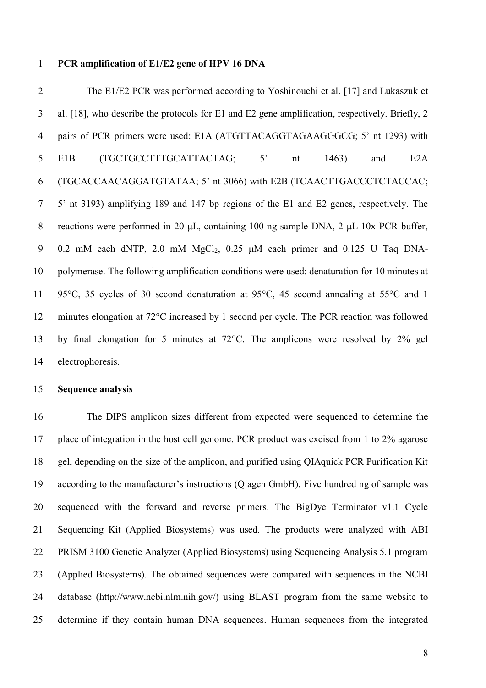#### **PCR amplification of E1/E2 gene of HPV 16 DNA**

 The E1/E2 PCR was performed according to Yoshinouchi et al. [17] and Lukaszuk et al. [18], who describe the protocols for E1 and E2 gene amplification, respectively. Briefly, 2 pairs of PCR primers were used: E1A (ATGTTACAGGTAGAAGGGCG; 5' nt 1293) with E1B (TGCTGCCTTTGCATTACTAG; 5' nt 1463) and E2A (TGCACCAACAGGATGTATAA; 5' nt 3066) with E2B (TCAACTTGACCCTCTACCAC; 5' nt 3193) amplifying 189 and 147 bp regions of the E1 and E2 genes, respectively. The reactions were performed in 20 μL, containing 100 ng sample DNA, 2 μL 10x PCR buffer, 0.2 mM each dNTP, 2.0 mM MgCl2, 0.25 μM each primer and 0.125 U Taq DNA- polymerase. The following amplification conditions were used: denaturation for 10 minutes at 95°C, 35 cycles of 30 second denaturation at 95°C, 45 second annealing at 55°C and 1 minutes elongation at 72°C increased by 1 second per cycle. The PCR reaction was followed by final elongation for 5 minutes at 72°C. The amplicons were resolved by 2% gel electrophoresis.

### **Sequence analysis**

 The DIPS amplicon sizes different from expected were sequenced to determine the place of integration in the host cell genome. PCR product was excised from 1 to 2% agarose gel, depending on the size of the amplicon, and purified using QIAquick PCR Purification Kit according to the manufacturer's instructions (Qiagen GmbH). Five hundred ng of sample was sequenced with the forward and reverse primers. The BigDye Terminator v1.1 Cycle Sequencing Kit (Applied Biosystems) was used. The products were analyzed with ABI PRISM 3100 Genetic Analyzer (Applied Biosystems) using Sequencing Analysis 5.1 program (Applied Biosystems). The obtained sequences were compared with sequences in the NCBI database (http://www.ncbi.nlm.nih.gov/) using BLAST program from the same website to determine if they contain human DNA sequences. Human sequences from the integrated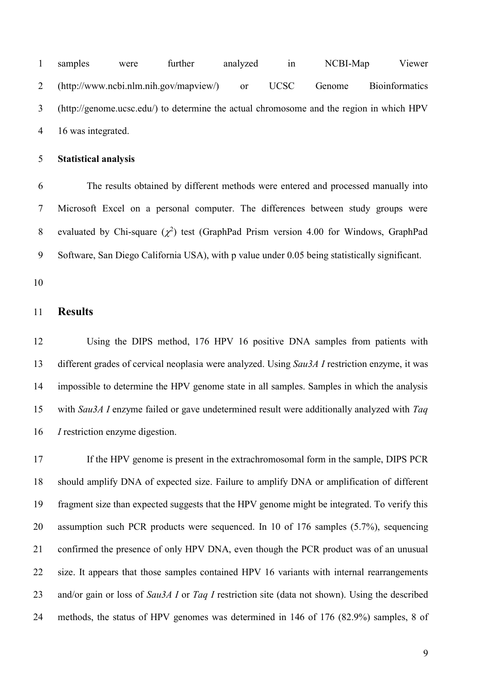samples were further analyzed in NCBI-Map Viewer (http://www.ncbi.nlm.nih.gov/mapview/) or UCSC Genome Bioinformatics (http://genome.ucsc.edu/) to determine the actual chromosome and the region in which HPV 16 was integrated.

### **Statistical analysis**

 The results obtained by different methods were entered and processed manually into Microsoft Excel on a personal computer. The differences between study groups were 8 evaluated by Chi-square  $(\chi^2)$  test (GraphPad Prism version 4.00 for Windows, GraphPad Software, San Diego California USA), with p value under 0.05 being statistically significant.

### **Results**

 Using the DIPS method, 176 HPV 16 positive DNA samples from patients with different grades of cervical neoplasia were analyzed. Using *Sau3A I* restriction enzyme, it was impossible to determine the HPV genome state in all samples. Samples in which the analysis with *Sau3A I* enzyme failed or gave undetermined result were additionally analyzed with *Taq I* restriction enzyme digestion.

 If the HPV genome is present in the extrachromosomal form in the sample, DIPS PCR should amplify DNA of expected size. Failure to amplify DNA or amplification of different fragment size than expected suggests that the HPV genome might be integrated. To verify this assumption such PCR products were sequenced. In 10 of 176 samples (5.7%), sequencing confirmed the presence of only HPV DNA, even though the PCR product was of an unusual size. It appears that those samples contained HPV 16 variants with internal rearrangements and/or gain or loss of *Sau3A I* or *Taq I* restriction site (data not shown). Using the described methods, the status of HPV genomes was determined in 146 of 176 (82.9%) samples, 8 of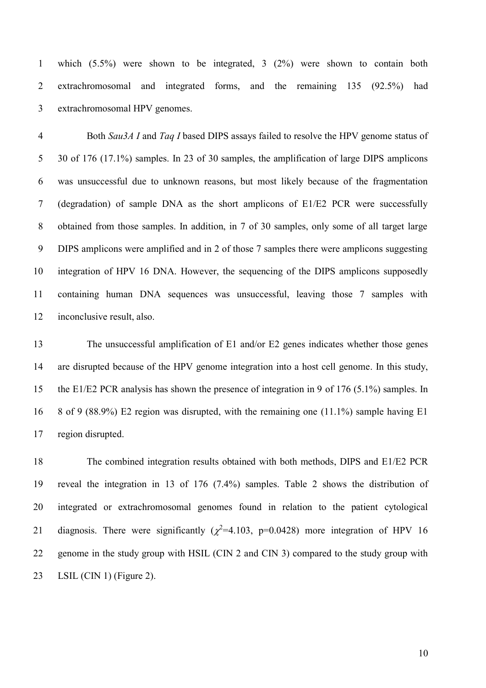which (5.5%) were shown to be integrated, 3 (2%) were shown to contain both extrachromosomal and integrated forms, and the remaining 135 (92.5%) had extrachromosomal HPV genomes.

 Both *Sau3A I* and *Taq I* based DIPS assays failed to resolve the HPV genome status of 5 30 of 176 (17.1%) samples. In 23 of 30 samples, the amplification of large DIPS amplicons was unsuccessful due to unknown reasons, but most likely because of the fragmentation (degradation) of sample DNA as the short amplicons of E1/E2 PCR were successfully obtained from those samples. In addition, in 7 of 30 samples, only some of all target large DIPS amplicons were amplified and in 2 of those 7 samples there were amplicons suggesting integration of HPV 16 DNA. However, the sequencing of the DIPS amplicons supposedly containing human DNA sequences was unsuccessful, leaving those 7 samples with inconclusive result, also.

 The unsuccessful amplification of E1 and/or E2 genes indicates whether those genes are disrupted because of the HPV genome integration into a host cell genome. In this study, the E1/E2 PCR analysis has shown the presence of integration in 9 of 176 (5.1%) samples. In 8 of 9 (88.9%) E2 region was disrupted, with the remaining one (11.1%) sample having E1 region disrupted.

 The combined integration results obtained with both methods, DIPS and E1/E2 PCR reveal the integration in 13 of 176 (7.4%) samples. Table 2 shows the distribution of integrated or extrachromosomal genomes found in relation to the patient cytological 21 diagnosis. There were significantly ( $\chi^2$ =4.103, p=0.0428) more integration of HPV 16 genome in the study group with HSIL (CIN 2 and CIN 3) compared to the study group with LSIL (CIN 1) (Figure 2).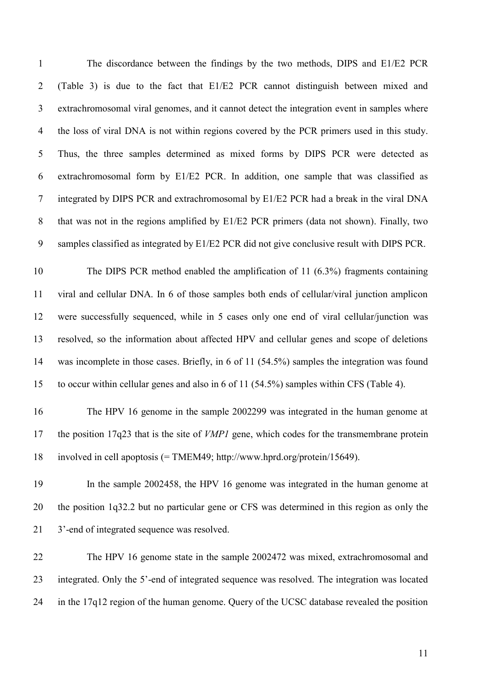The discordance between the findings by the two methods, DIPS and E1/E2 PCR (Table 3) is due to the fact that E1/E2 PCR cannot distinguish between mixed and extrachromosomal viral genomes, and it cannot detect the integration event in samples where the loss of viral DNA is not within regions covered by the PCR primers used in this study. Thus, the three samples determined as mixed forms by DIPS PCR were detected as extrachromosomal form by E1/E2 PCR. In addition, one sample that was classified as integrated by DIPS PCR and extrachromosomal by E1/E2 PCR had a break in the viral DNA that was not in the regions amplified by E1/E2 PCR primers (data not shown). Finally, two samples classified as integrated by E1/E2 PCR did not give conclusive result with DIPS PCR.

 The DIPS PCR method enabled the amplification of 11 (6.3%) fragments containing viral and cellular DNA. In 6 of those samples both ends of cellular/viral junction amplicon were successfully sequenced, while in 5 cases only one end of viral cellular/junction was resolved, so the information about affected HPV and cellular genes and scope of deletions was incomplete in those cases. Briefly, in 6 of 11 (54.5%) samples the integration was found to occur within cellular genes and also in 6 of 11 (54.5%) samples within CFS (Table 4).

 The HPV 16 genome in the sample 2002299 was integrated in the human genome at the position 17q23 that is the site of *VMP1* gene, which codes for the transmembrane protein involved in cell apoptosis (= TMEM49; http://www.hprd.org/protein/15649).

 In the sample 2002458, the HPV 16 genome was integrated in the human genome at the position 1q32.2 but no particular gene or CFS was determined in this region as only the 3'-end of integrated sequence was resolved.

 The HPV 16 genome state in the sample 2002472 was mixed, extrachromosomal and integrated. Only the 5'-end of integrated sequence was resolved. The integration was located in the 17q12 region of the human genome. Query of the UCSC database revealed the position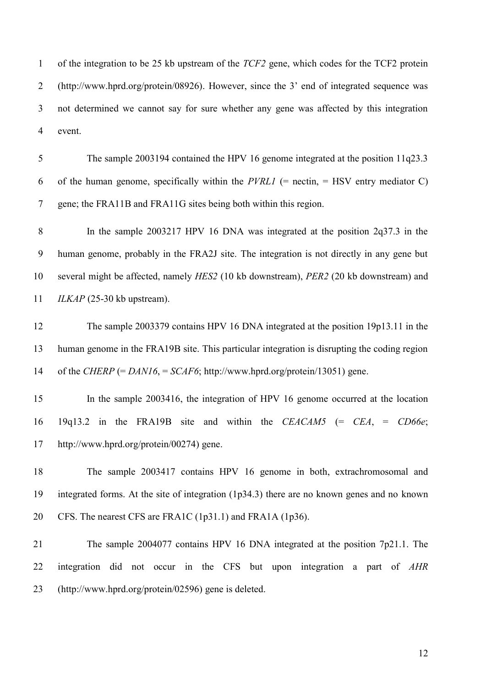of the integration to be 25 kb upstream of the *TCF2* gene, which codes for the TCF2 protein (http://www.hprd.org/protein/08926). However, since the 3' end of integrated sequence was not determined we cannot say for sure whether any gene was affected by this integration event.

 The sample 2003194 contained the HPV 16 genome integrated at the position 11q23.3 6 of the human genome, specifically within the *PVRL1* (= nectin, = HSV entry mediator C) gene; the FRA11B and FRA11G sites being both within this region.

 In the sample 2003217 HPV 16 DNA was integrated at the position 2q37.3 in the human genome, probably in the FRA2J site. The integration is not directly in any gene but several might be affected, namely *HES2* (10 kb downstream), *PER2* (20 kb downstream) and *ILKAP* (25-30 kb upstream).

 The sample 2003379 contains HPV 16 DNA integrated at the position 19p13.11 in the human genome in the FRA19B site. This particular integration is disrupting the coding region of the *CHERP* (= *DAN16*, = *SCAF6*; http://www.hprd.org/protein/13051) gene.

 In the sample 2003416, the integration of HPV 16 genome occurred at the location 19q13.2 in the FRA19B site and within the *CEACAM5* (= *CEA*, = *CD66e*; http://www.hprd.org/protein/00274) gene.

 The sample 2003417 contains HPV 16 genome in both, extrachromosomal and integrated forms. At the site of integration (1p34.3) there are no known genes and no known CFS. The nearest CFS are FRA1C (1p31.1) and FRA1A (1p36).

 The sample 2004077 contains HPV 16 DNA integrated at the position 7p21.1. The integration did not occur in the CFS but upon integration a part of *AHR* (http://www.hprd.org/protein/02596) gene is deleted.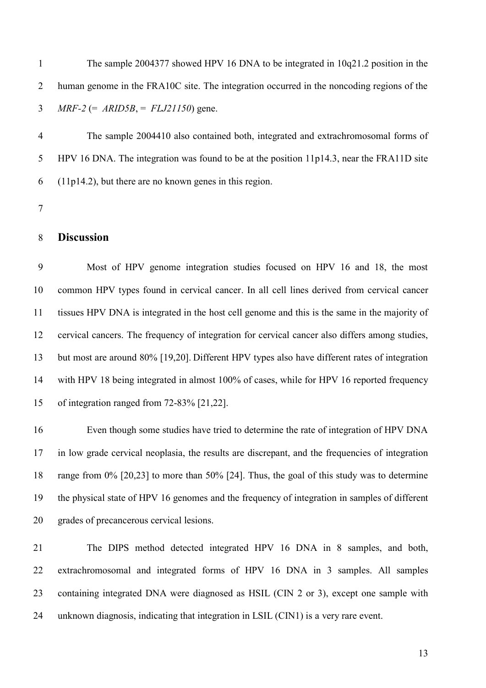The sample 2004377 showed HPV 16 DNA to be integrated in 10q21.2 position in the human genome in the FRA10C site. The integration occurred in the noncoding regions of the *MRF-2* (= *ARID5B*, = *FLJ21150*) gene.

 The sample 2004410 also contained both, integrated and extrachromosomal forms of HPV 16 DNA. The integration was found to be at the position 11p14.3, near the FRA11D site (11p14.2), but there are no known genes in this region.

### **Discussion**

 Most of HPV genome integration studies focused on HPV 16 and 18, the most common HPV types found in cervical cancer. In all cell lines derived from cervical cancer tissues HPV DNA is integrated in the host cell genome and this is the same in the majority of cervical cancers. The frequency of integration for cervical cancer also differs among studies, but most are around 80% [19,20]. Different HPV types also have different rates of integration with HPV 18 being integrated in almost 100% of cases, while for HPV 16 reported frequency of integration ranged from 72-83% [21,22].

 Even though some studies have tried to determine the rate of integration of HPV DNA in low grade cervical neoplasia, the results are discrepant, and the frequencies of integration range from 0% [20,23] to more than 50% [24]. Thus, the goal of this study was to determine the physical state of HPV 16 genomes and the frequency of integration in samples of different grades of precancerous cervical lesions.

 The DIPS method detected integrated HPV 16 DNA in 8 samples, and both, extrachromosomal and integrated forms of HPV 16 DNA in 3 samples. All samples containing integrated DNA were diagnosed as HSIL (CIN 2 or 3), except one sample with unknown diagnosis, indicating that integration in LSIL (CIN1) is a very rare event.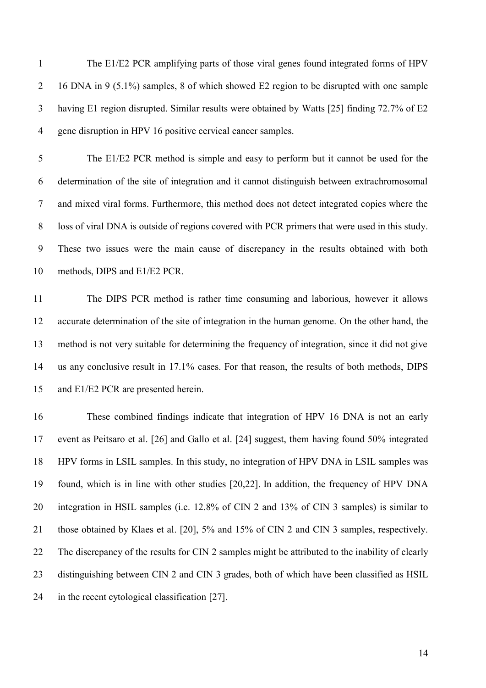The E1/E2 PCR amplifying parts of those viral genes found integrated forms of HPV 16 DNA in 9 (5.1%) samples, 8 of which showed E2 region to be disrupted with one sample having E1 region disrupted. Similar results were obtained by Watts [25] finding 72.7% of E2 gene disruption in HPV 16 positive cervical cancer samples.

 The E1/E2 PCR method is simple and easy to perform but it cannot be used for the determination of the site of integration and it cannot distinguish between extrachromosomal and mixed viral forms. Furthermore, this method does not detect integrated copies where the loss of viral DNA is outside of regions covered with PCR primers that were used in this study. These two issues were the main cause of discrepancy in the results obtained with both methods, DIPS and E1/E2 PCR.

 The DIPS PCR method is rather time consuming and laborious, however it allows accurate determination of the site of integration in the human genome. On the other hand, the method is not very suitable for determining the frequency of integration, since it did not give us any conclusive result in 17.1% cases. For that reason, the results of both methods, DIPS 15 and E1/E2 PCR are presented herein.

 These combined findings indicate that integration of HPV 16 DNA is not an early event as Peitsaro et al. [26] and Gallo et al. [24] suggest, them having found 50% integrated HPV forms in LSIL samples. In this study, no integration of HPV DNA in LSIL samples was found, which is in line with other studies [20,22]. In addition, the frequency of HPV DNA integration in HSIL samples (i.e. 12.8% of CIN 2 and 13% of CIN 3 samples) is similar to those obtained by Klaes et al. [20], 5% and 15% of CIN 2 and CIN 3 samples, respectively. The discrepancy of the results for CIN 2 samples might be attributed to the inability of clearly distinguishing between CIN 2 and CIN 3 grades, both of which have been classified as HSIL in the recent cytological classification [27].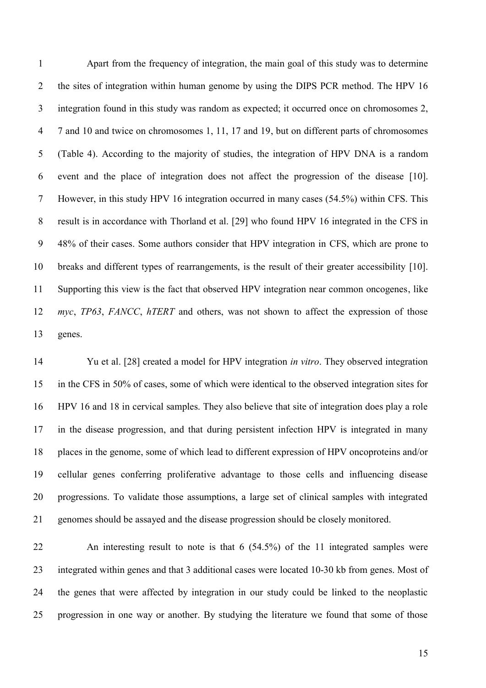Apart from the frequency of integration, the main goal of this study was to determine 2 the sites of integration within human genome by using the DIPS PCR method. The HPV 16 integration found in this study was random as expected; it occurred once on chromosomes 2, 7 and 10 and twice on chromosomes 1, 11, 17 and 19, but on different parts of chromosomes (Table 4). According to the majority of studies, the integration of HPV DNA is a random event and the place of integration does not affect the progression of the disease [10]. However, in this study HPV 16 integration occurred in many cases (54.5%) within CFS. This result is in accordance with Thorland et al. [29] who found HPV 16 integrated in the CFS in 48% of their cases. Some authors consider that HPV integration in CFS, which are prone to breaks and different types of rearrangements, is the result of their greater accessibility [10]. Supporting this view is the fact that observed HPV integration near common oncogenes, like *myc*, *TP63*, *FANCC*, *hTERT* and others, was not shown to affect the expression of those genes.

 Yu et al. [28] created a model for HPV integration *in vitro*. They observed integration in the CFS in 50% of cases, some of which were identical to the observed integration sites for HPV 16 and 18 in cervical samples. They also believe that site of integration does play a role in the disease progression, and that during persistent infection HPV is integrated in many places in the genome, some of which lead to different expression of HPV oncoproteins and/or cellular genes conferring proliferative advantage to those cells and influencing disease progressions. To validate those assumptions, a large set of clinical samples with integrated genomes should be assayed and the disease progression should be closely monitored.

 An interesting result to note is that 6 (54.5%) of the 11 integrated samples were integrated within genes and that 3 additional cases were located 10-30 kb from genes. Most of the genes that were affected by integration in our study could be linked to the neoplastic progression in one way or another. By studying the literature we found that some of those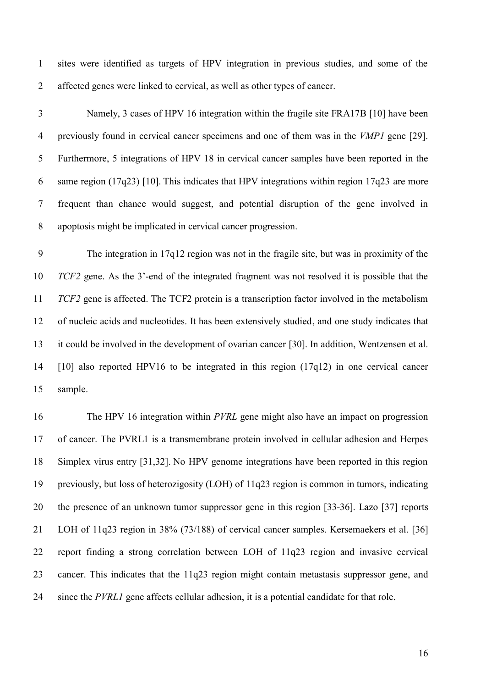sites were identified as targets of HPV integration in previous studies, and some of the affected genes were linked to cervical, as well as other types of cancer.

 Namely, 3 cases of HPV 16 integration within the fragile site FRA17B [10] have been previously found in cervical cancer specimens and one of them was in the *VMP1* gene [29]. Furthermore, 5 integrations of HPV 18 in cervical cancer samples have been reported in the same region (17q23) [10]. This indicates that HPV integrations within region 17q23 are more frequent than chance would suggest, and potential disruption of the gene involved in apoptosis might be implicated in cervical cancer progression.

 The integration in 17q12 region was not in the fragile site, but was in proximity of the *TCF2* gene. As the 3'-end of the integrated fragment was not resolved it is possible that the *TCF2* gene is affected. The TCF2 protein is a transcription factor involved in the metabolism of nucleic acids and nucleotides. It has been extensively studied, and one study indicates that it could be involved in the development of ovarian cancer [30]. In addition, Wentzensen et al. [10] also reported HPV16 to be integrated in this region (17q12) in one cervical cancer sample.

 The HPV 16 integration within *PVRL* gene might also have an impact on progression of cancer. The PVRL1 is a transmembrane protein involved in cellular adhesion and Herpes Simplex virus entry [31,32]. No HPV genome integrations have been reported in this region previously, but loss of heterozigosity (LOH) of 11q23 region is common in tumors, indicating the presence of an unknown tumor suppressor gene in this region [33-36]. Lazo [37] reports LOH of 11q23 region in 38% (73/188) of cervical cancer samples. Kersemaekers et al. [36] report finding a strong correlation between LOH of 11q23 region and invasive cervical cancer. This indicates that the 11q23 region might contain metastasis suppressor gene, and since the *PVRL1* gene affects cellular adhesion, it is a potential candidate for that role.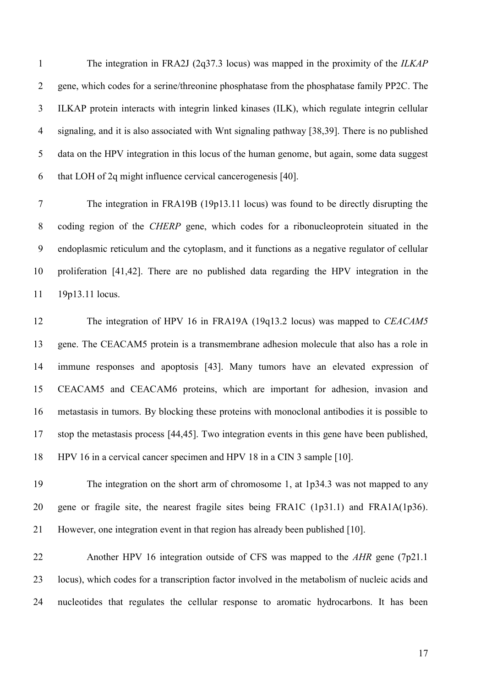The integration in FRA2J (2q37.3 locus) was mapped in the proximity of the *ILKAP* gene, which codes for a serine/threonine phosphatase from the phosphatase family PP2C. The ILKAP protein interacts with integrin linked kinases (ILK), which regulate integrin cellular signaling, and it is also associated with Wnt signaling pathway [38,39]. There is no published data on the HPV integration in this locus of the human genome, but again, some data suggest that LOH of 2q might influence cervical cancerogenesis [40].

 The integration in FRA19B (19p13.11 locus) was found to be directly disrupting the coding region of the *CHERP* gene, which codes for a ribonucleoprotein situated in the endoplasmic reticulum and the cytoplasm, and it functions as a negative regulator of cellular proliferation [41,42]. There are no published data regarding the HPV integration in the 19p13.11 locus.

 The integration of HPV 16 in FRA19A (19q13.2 locus) was mapped to *CEACAM5* gene. The CEACAM5 protein is a transmembrane adhesion molecule that also has a role in immune responses and apoptosis [43]. Many tumors have an elevated expression of CEACAM5 and CEACAM6 proteins, which are important for adhesion, invasion and metastasis in tumors. By blocking these proteins with monoclonal antibodies it is possible to stop the metastasis process [44,45]. Two integration events in this gene have been published, HPV 16 in a cervical cancer specimen and HPV 18 in a CIN 3 sample [10].

 The integration on the short arm of chromosome 1, at 1p34.3 was not mapped to any gene or fragile site, the nearest fragile sites being FRA1C (1p31.1) and FRA1A(1p36). However, one integration event in that region has already been published [10].

 Another HPV 16 integration outside of CFS was mapped to the *AHR* gene (7p21.1 locus), which codes for a transcription factor involved in the metabolism of nucleic acids and nucleotides that regulates the cellular response to aromatic hydrocarbons. It has been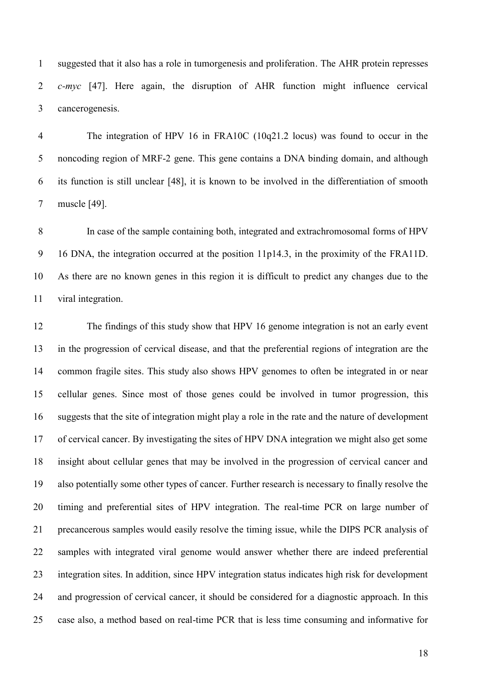suggested that it also has a role in tumorgenesis and proliferation. The AHR protein represses *c-myc* [47]. Here again, the disruption of AHR function might influence cervical cancerogenesis.

 The integration of HPV 16 in FRA10C (10q21.2 locus) was found to occur in the noncoding region of MRF-2 gene. This gene contains a DNA binding domain, and although its function is still unclear [48], it is known to be involved in the differentiation of smooth muscle [49].

 In case of the sample containing both, integrated and extrachromosomal forms of HPV 16 DNA, the integration occurred at the position 11p14.3, in the proximity of the FRA11D. As there are no known genes in this region it is difficult to predict any changes due to the viral integration.

 The findings of this study show that HPV 16 genome integration is not an early event in the progression of cervical disease, and that the preferential regions of integration are the common fragile sites. This study also shows HPV genomes to often be integrated in or near cellular genes. Since most of those genes could be involved in tumor progression, this suggests that the site of integration might play a role in the rate and the nature of development of cervical cancer. By investigating the sites of HPV DNA integration we might also get some insight about cellular genes that may be involved in the progression of cervical cancer and also potentially some other types of cancer. Further research is necessary to finally resolve the timing and preferential sites of HPV integration. The real-time PCR on large number of precancerous samples would easily resolve the timing issue, while the DIPS PCR analysis of samples with integrated viral genome would answer whether there are indeed preferential integration sites. In addition, since HPV integration status indicates high risk for development and progression of cervical cancer, it should be considered for a diagnostic approach. In this case also, a method based on real-time PCR that is less time consuming and informative for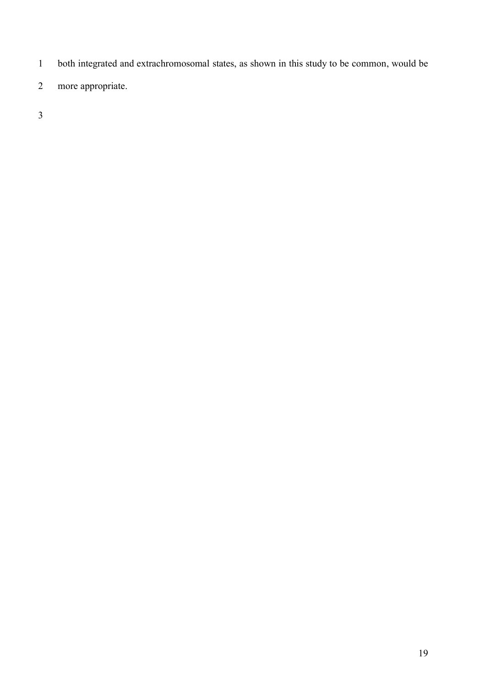- both integrated and extrachromosomal states, as shown in this study to be common, would be
- more appropriate.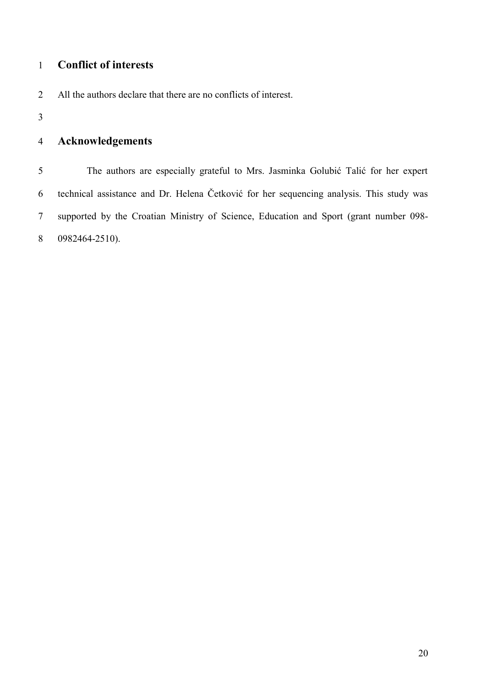## **Conflict of interests**

- All the authors declare that there are no conflicts of interest.
- 

## **Acknowledgements**

 The authors are especially grateful to Mrs. Jasminka Golubić Talić for her expert technical assistance and Dr. Helena Četković for her sequencing analysis. This study was supported by the Croatian Ministry of Science, Education and Sport (grant number 098- 0982464-2510).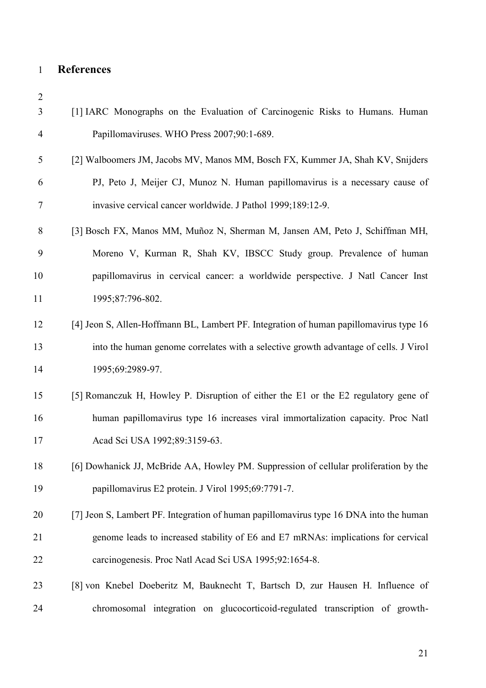## **References**

| $\overline{2}$ |                                                                                        |
|----------------|----------------------------------------------------------------------------------------|
| 3              | [1] IARC Monographs on the Evaluation of Carcinogenic Risks to Humans. Human           |
| 4              | Papillomaviruses. WHO Press 2007;90:1-689.                                             |
| 5              | [2] Walboomers JM, Jacobs MV, Manos MM, Bosch FX, Kummer JA, Shah KV, Snijders         |
| 6              | PJ, Peto J, Meijer CJ, Munoz N. Human papillomavirus is a necessary cause of           |
| 7              | invasive cervical cancer worldwide. J Pathol 1999;189:12-9.                            |
| 8              | [3] Bosch FX, Manos MM, Muñoz N, Sherman M, Jansen AM, Peto J, Schiffman MH,           |
| 9              | Moreno V, Kurman R, Shah KV, IBSCC Study group. Prevalence of human                    |
| 10             | papillomavirus in cervical cancer: a worldwide perspective. J Natl Cancer Inst         |
| 11             | 1995;87:796-802.                                                                       |
| 12             | [4] Jeon S, Allen-Hoffmann BL, Lambert PF. Integration of human papillomavirus type 16 |
| 13             | into the human genome correlates with a selective growth advantage of cells. J Virol   |
| 14             | 1995;69:2989-97.                                                                       |
| 15             | [5] Romanczuk H, Howley P. Disruption of either the E1 or the E2 regulatory gene of    |
| 16             | human papillomavirus type 16 increases viral immortalization capacity. Proc Natl       |
| 17             | Acad Sci USA 1992;89:3159-63.                                                          |
| 18             | [6] Dowhanick JJ, McBride AA, Howley PM. Suppression of cellular proliferation by the  |
| 19             | papillomavirus E2 protein. J Virol 1995;69:7791-7.                                     |
| 20             | [7] Jeon S, Lambert PF. Integration of human papillomavirus type 16 DNA into the human |
| 21             | genome leads to increased stability of E6 and E7 mRNAs: implications for cervical      |
| 22             | carcinogenesis. Proc Natl Acad Sci USA 1995;92:1654-8.                                 |
| 23             | [8] von Knebel Doeberitz M, Bauknecht T, Bartsch D, zur Hausen H. Influence of         |
| 24             | chromosomal integration on glucocorticoid-regulated transcription of growth-           |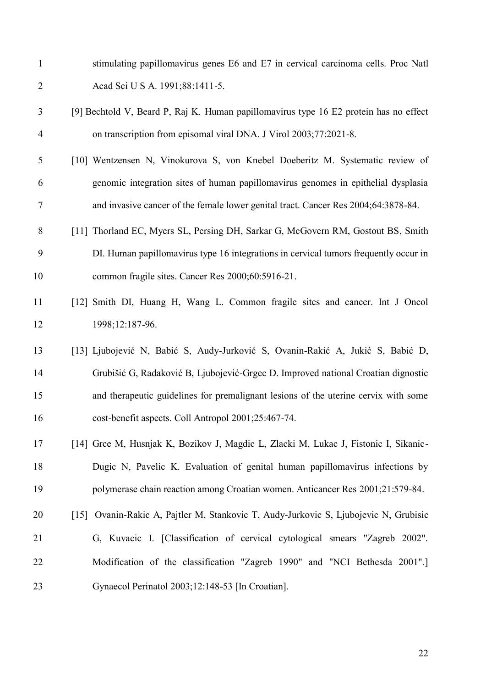- stimulating papillomavirus genes E6 and E7 in cervical carcinoma cells. Proc Natl Acad Sci U S A. 1991;88:1411-5.
- [9] Bechtold V, Beard P, Raj K. Human papillomavirus type 16 E2 protein has no effect on transcription from episomal viral DNA. J Virol 2003;77:2021-8.
- [10] Wentzensen N, Vinokurova S, von Knebel Doeberitz M. Systematic review of genomic integration sites of human papillomavirus genomes in epithelial dysplasia and invasive cancer of the female lower genital tract. Cancer Res 2004;64:3878-84.
- 8 [11] Thorland EC, Myers SL, Persing DH, Sarkar G, McGovern RM, Gostout BS, Smith DI. Human papillomavirus type 16 integrations in cervical tumors frequently occur in common fragile sites. Cancer Res 2000;60:5916-21.
- [12] Smith DI, Huang H, Wang L. Common fragile sites and cancer. Int J Oncol 12 1998;12:187-96.
- [13] Ljubojević N, Babić S, Audy-Jurković S, Ovanin-Rakić A, Jukić S, Babić D, Grubišić G, Radaković B, Ljubojević-Grgec D. Improved national Croatian dignostic and therapeutic guidelines for premalignant lesions of the uterine cervix with some cost-benefit aspects. Coll Antropol 2001;25:467-74.
- [14] Grce M, Husnjak K, Bozikov J, Magdic L, Zlacki M, Lukac J, Fistonic I, Sikanic- Dugic N, Pavelic K. Evaluation of genital human papillomavirus infections by polymerase chain reaction among Croatian women. Anticancer Res 2001;21:579-84.
- [15] Ovanin-Rakic A, Pajtler M, Stankovic T, Audy-Jurkovic S, Ljubojevic N, Grubisic G, Kuvacic I. Classification of cervical cytological smears "Zagreb 2002". Modification of the classification "Zagreb 1990" and "NCI Bethesda 2001". Gynaecol Perinatol 2003;12:148-53 In Croatian.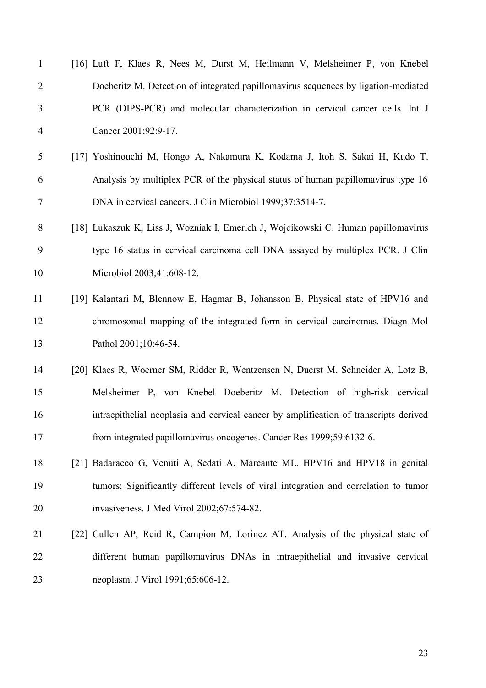| $\mathbf{1}$   | [16] Luft F, Klaes R, Nees M, Durst M, Heilmann V, Melsheimer P, von Knebel           |
|----------------|---------------------------------------------------------------------------------------|
| 2              | Doeberitz M. Detection of integrated papillomavirus sequences by ligation-mediated    |
| 3              | PCR (DIPS-PCR) and molecular characterization in cervical cancer cells. Int J         |
| $\overline{4}$ | Cancer 2001;92:9-17.                                                                  |
| 5              | [17] Yoshinouchi M, Hongo A, Nakamura K, Kodama J, Itoh S, Sakai H, Kudo T.           |
| 6              | Analysis by multiplex PCR of the physical status of human papillomavirus type 16      |
| 7              | DNA in cervical cancers. J Clin Microbiol 1999;37:3514-7.                             |
| 8              | [18] Lukaszuk K, Liss J, Wozniak I, Emerich J, Wojcikowski C. Human papillomavirus    |
| 9              | type 16 status in cervical carcinoma cell DNA assayed by multiplex PCR. J Clin        |
| 10             | Microbiol 2003;41:608-12.                                                             |
| 11             | [19] Kalantari M, Blennow E, Hagmar B, Johansson B. Physical state of HPV16 and       |
| 12             | chromosomal mapping of the integrated form in cervical carcinomas. Diagn Mol          |
| 13             | Pathol 2001;10:46-54.                                                                 |
| 14             | [20] Klaes R, Woerner SM, Ridder R, Wentzensen N, Duerst M, Schneider A, Lotz B,      |
| 15             | Melsheimer P, von Knebel Doeberitz M. Detection of high-risk cervical                 |
| 16             | intraepithelial neoplasia and cervical cancer by amplification of transcripts derived |
| 17             | from integrated papillomavirus oncogenes. Cancer Res 1999;59:6132-6.                  |
| 18             | [21] Badaracco G, Venuti A, Sedati A, Marcante ML. HPV16 and HPV18 in genital         |
| 19             | tumors: Significantly different levels of viral integration and correlation to tumor  |
| 20             | invasiveness. J Med Virol 2002;67:574-82.                                             |
| 21             | [22] Cullen AP, Reid R, Campion M, Lorincz AT. Analysis of the physical state of      |
| 22             | different human papillomavirus DNAs in intraepithelial and invasive cervical          |
| 23             | neoplasm. J Virol 1991;65:606-12.                                                     |
|                |                                                                                       |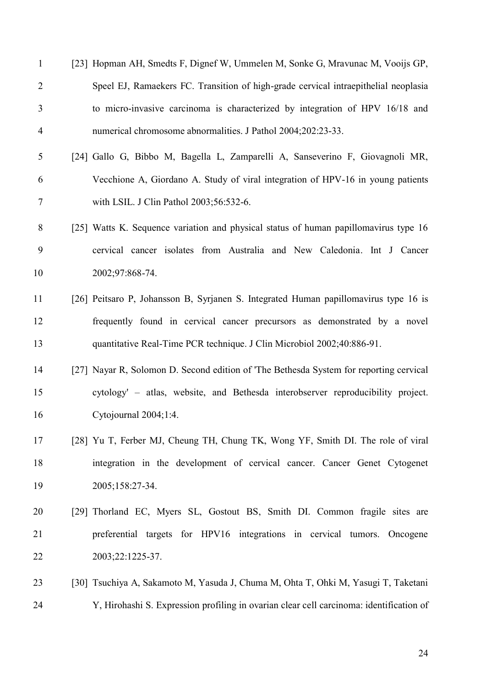| $\mathbf{1}$   | [23] Hopman AH, Smedts F, Dignef W, Ummelen M, Sonke G, Mravunac M, Vooijs GP,          |
|----------------|-----------------------------------------------------------------------------------------|
| $\overline{2}$ | Speel EJ, Ramaekers FC. Transition of high-grade cervical intraepithelial neoplasia     |
| 3              | to micro-invasive carcinoma is characterized by integration of HPV 16/18 and            |
| 4              | numerical chromosome abnormalities. J Pathol 2004;202:23-33.                            |
| 5              | [24] Gallo G, Bibbo M, Bagella L, Zamparelli A, Sanseverino F, Giovagnoli MR,           |
| 6              | Vecchione A, Giordano A. Study of viral integration of HPV-16 in young patients         |
| $\tau$         | with LSIL. J Clin Pathol 2003;56:532-6.                                                 |
| 8              | [25] Watts K. Sequence variation and physical status of human papillomavirus type 16    |
| 9              | cervical cancer isolates from Australia and New Caledonia. Int J Cancer                 |
| 10             | 2002;97:868-74.                                                                         |
| 11             | [26] Peitsaro P, Johansson B, Syrjanen S. Integrated Human papillomavirus type 16 is    |
| 12             | frequently found in cervical cancer precursors as demonstrated by a novel               |
| 13             | quantitative Real-Time PCR technique. J Clin Microbiol 2002;40:886-91.                  |
| 14             | [27] Nayar R, Solomon D. Second edition of 'The Bethesda System for reporting cervical  |
| 15             | cytology' – atlas, website, and Bethesda interobserver reproducibility project.         |
| 16             | Cytojournal 2004;1:4.                                                                   |
| 17             | [28] Yu T, Ferber MJ, Cheung TH, Chung TK, Wong YF, Smith DI. The role of viral         |
| 18             | integration in the development of cervical cancer. Cancer Genet Cytogenet               |
| 19             | 2005;158:27-34.                                                                         |
| 20             | [29] Thorland EC, Myers SL, Gostout BS, Smith DI. Common fragile sites are              |
| 21             | preferential targets for HPV16 integrations in cervical tumors. Oncogene                |
| 22             | 2003;22:1225-37.                                                                        |
| 23             | [30] Tsuchiya A, Sakamoto M, Yasuda J, Chuma M, Ohta T, Ohki M, Yasugi T, Taketani      |
| 24             | Y, Hirohashi S. Expression profiling in ovarian clear cell carcinoma: identification of |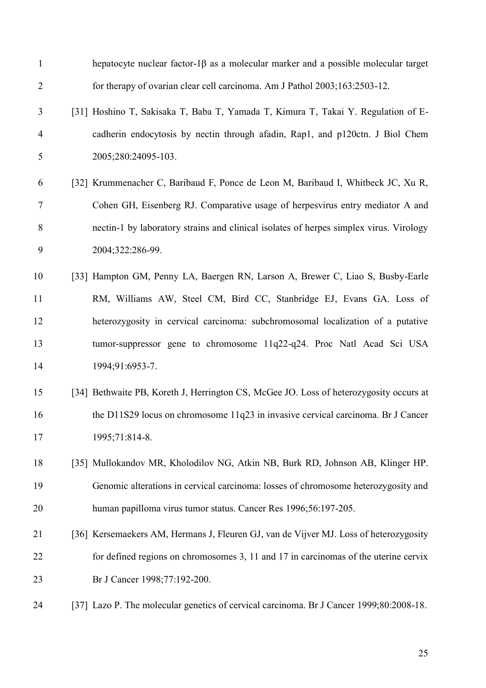| $\mathbf{1}$   | hepatocyte nuclear factor-1 $\beta$ as a molecular marker and a possible molecular target |
|----------------|-------------------------------------------------------------------------------------------|
| $\overline{2}$ | for therapy of ovarian clear cell carcinoma. Am J Pathol 2003;163:2503-12.                |
| 3              | [31] Hoshino T, Sakisaka T, Baba T, Yamada T, Kimura T, Takai Y. Regulation of E-         |
| $\overline{4}$ | cadherin endocytosis by nectin through afadin, Rap1, and p120ctn. J Biol Chem             |
| 5              | 2005;280:24095-103.                                                                       |
| 6              | [32] Krummenacher C, Baribaud F, Ponce de Leon M, Baribaud I, Whitbeck JC, Xu R,          |
| 7              | Cohen GH, Eisenberg RJ. Comparative usage of herpesvirus entry mediator A and             |
| 8              | nectin-1 by laboratory strains and clinical isolates of herpes simplex virus. Virology    |
| 9              | 2004;322:286-99.                                                                          |
| 10             | [33] Hampton GM, Penny LA, Baergen RN, Larson A, Brewer C, Liao S, Busby-Earle            |
| 11             | RM, Williams AW, Steel CM, Bird CC, Stanbridge EJ, Evans GA. Loss of                      |
| 12             | heterozygosity in cervical carcinoma: subchromosomal localization of a putative           |
| 13             | tumor-suppressor gene to chromosome 11q22-q24. Proc Natl Acad Sci USA                     |
| 14             | 1994;91:6953-7.                                                                           |
| 15             | [34] Bethwaite PB, Koreth J, Herrington CS, McGee JO. Loss of heterozygosity occurs at    |
| 16             | the D11S29 locus on chromosome 11q23 in invasive cervical carcinoma. Br J Cancer          |
| 17             | 1995;71:814-8.                                                                            |
| 18             | [35] Mullokandov MR, Kholodilov NG, Atkin NB, Burk RD, Johnson AB, Klinger HP.            |
| 19             | Genomic alterations in cervical carcinoma: losses of chromosome heterozygosity and        |
| 20             | human papilloma virus tumor status. Cancer Res 1996;56:197-205.                           |
| 21             | [36] Kersemaekers AM, Hermans J, Fleuren GJ, van de Vijver MJ. Loss of heterozygosity     |
| 22             | for defined regions on chromosomes 3, 11 and 17 in carcinomas of the uterine cervix       |
| 23             | Br J Cancer 1998;77:192-200.                                                              |
| 24             | [37] Lazo P. The molecular genetics of cervical carcinoma. Br J Cancer 1999;80:2008-18.   |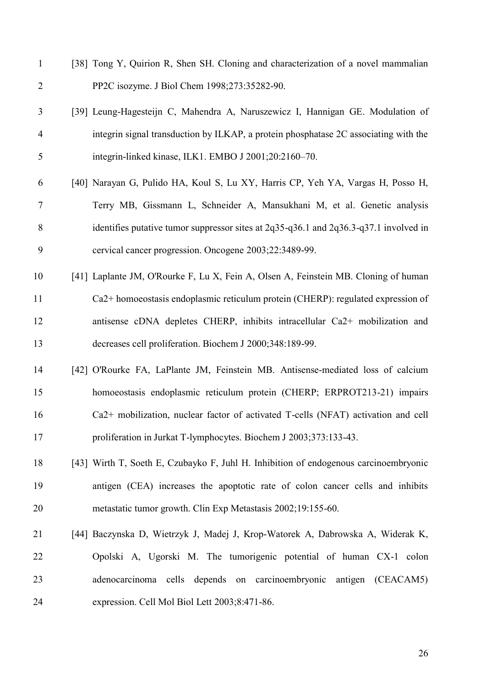- [38] Tong Y, Quirion R, Shen SH. Cloning and characterization of a novel mammalian PP2C isozyme. J Biol Chem 1998;273:35282-90.
- [39] Leung-Hagesteijn C, Mahendra A, Naruszewicz I, Hannigan GE. Modulation of integrin signal transduction by ILKAP, a protein phosphatase 2C associating with the integrin-linked kinase, ILK1. EMBO J 2001;20:2160–70.
- [40] Narayan G, Pulido HA, Koul S, Lu XY, Harris CP, Yeh YA, Vargas H, Posso H, Terry MB, Gissmann L, Schneider A, Mansukhani M, et al. Genetic analysis identifies putative tumor suppressor sites at 2q35-q36.1 and 2q36.3-q37.1 involved in cervical cancer progression. Oncogene 2003;22:3489-99.
- [41] Laplante JM, O'Rourke F, Lu X, Fein A, Olsen A, Feinstein MB. Cloning of human Ca2+ homoeostasis endoplasmic reticulum protein (CHERP): regulated expression of antisense cDNA depletes CHERP, inhibits intracellular Ca2+ mobilization and decreases cell proliferation. Biochem J 2000;348:189-99.
- [42] O'Rourke FA, LaPlante JM, Feinstein MB. Antisense-mediated loss of calcium homoeostasis endoplasmic reticulum protein (CHERP; ERPROT213-21) impairs Ca2+ mobilization, nuclear factor of activated T-cells (NFAT) activation and cell proliferation in Jurkat T-lymphocytes. Biochem J 2003;373:133-43.
- [43] Wirth T, Soeth E, Czubayko F, Juhl H. Inhibition of endogenous carcinoembryonic antigen (CEA) increases the apoptotic rate of colon cancer cells and inhibits metastatic tumor growth. Clin Exp Metastasis 2002;19:155-60.
- [44] Baczynska D, Wietrzyk J, Madej J, Krop-Watorek A, Dabrowska A, Widerak K, Opolski A, Ugorski M. The tumorigenic potential of human CX-1 colon adenocarcinoma cells depends on carcinoembryonic antigen (CEACAM5) expression. Cell Mol Biol Lett 2003;8:471-86.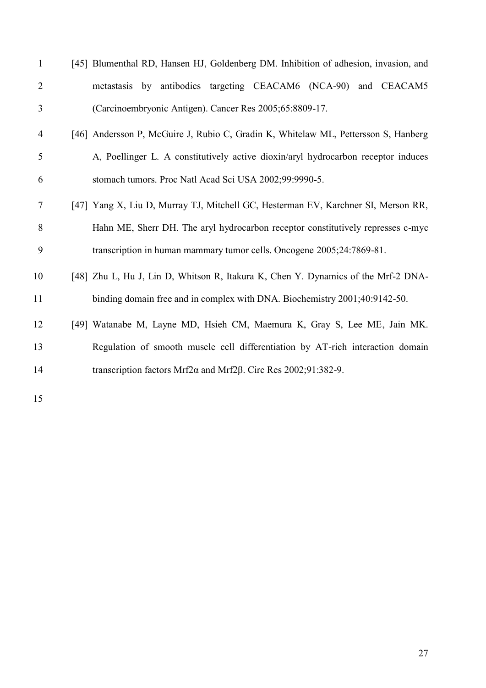| [45] Blumenthal RD, Hansen HJ, Goldenberg DM. Inhibition of adhesion, invasion, and |
|-------------------------------------------------------------------------------------|
| metastasis by antibodies targeting CEACAM6 (NCA-90) and CEACAM5                     |
| (Carcinoembryonic Antigen). Cancer Res 2005;65:8809-17.                             |
| [46] Andersson P, McGuire J, Rubio C, Gradin K, Whitelaw ML, Pettersson S, Hanberg  |
| A, Poellinger L. A constitutively active dioxin/aryl hydrocarbon receptor induces   |
| stomach tumors. Proc Natl Acad Sci USA 2002;99:9990-5.                              |
| [47] Yang X, Liu D, Murray TJ, Mitchell GC, Hesterman EV, Karchner SI, Merson RR,   |
| Hahn ME, Sherr DH. The aryl hydrocarbon receptor constitutively represses c-myc     |
| transcription in human mammary tumor cells. Oncogene 2005;24:7869-81.               |
| [48] Zhu L, Hu J, Lin D, Whitson R, Itakura K, Chen Y. Dynamics of the Mrf-2 DNA-   |
| binding domain free and in complex with DNA. Biochemistry 2001;40:9142-50.          |
| [49] Watanabe M, Layne MD, Hsieh CM, Maemura K, Gray S, Lee ME, Jain MK.            |
| Regulation of smooth muscle cell differentiation by AT-rich interaction domain      |
| transcription factors Mrf2 $\alpha$ and Mrf2 $\beta$ . Circ Res 2002;91:382-9.      |
|                                                                                     |
|                                                                                     |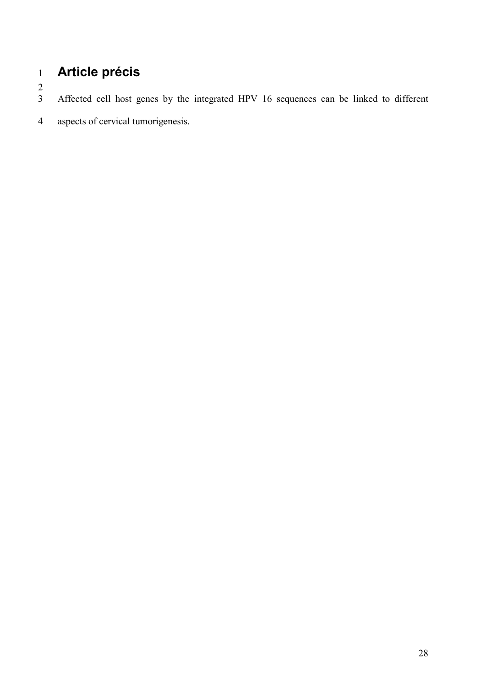# **Article précis**

 $\frac{2}{3}$ 

Affected cell host genes by the integrated HPV 16 sequences can be linked to different

aspects of cervical tumorigenesis.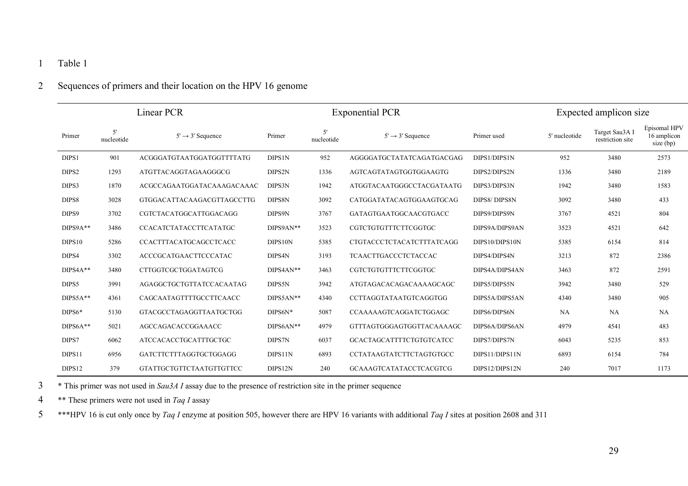## 1 Table 1

### 2 Sequences of primers and their location on the HPV 16 genome

| Linear PCR         |                  |                                 | <b>Exponential PCR</b> |                  |                                  |                | Expected amplicon size |                                    |                                          |
|--------------------|------------------|---------------------------------|------------------------|------------------|----------------------------------|----------------|------------------------|------------------------------------|------------------------------------------|
| Primer             | 5'<br>nucleotide | $5' \rightarrow 3'$ Sequence    | Primer                 | 5'<br>nucleotide | $5' \rightarrow 3'$ Sequence     | Primer used    | 5' nucleotide          | Target Sau3A I<br>restriction site | Episomal HPV<br>16 amplicon<br>size (bp) |
| DIPS1              | 901              | ACGGGATGTAATGGATGGTTTTATG       | <b>DIPS1N</b>          | 952              | AGGGGATGCTATATCAGATGACGAG        | DIPS1/DIPS1N   | 952                    | 3480                               | 2573                                     |
| DIPS2              | 1293             | ATGTTACAGGTAGAAGGGCG            | DIPS2N                 | 1336             | AGTCAGTATAGTGGTGGAAGTG           | DIPS2/DIPS2N   | 1336                   | 3480                               | 2189                                     |
| DIPS3              | 1870             | ACGCCAGAATGGATACAAAGACAAAC      | DIPS3N                 | 1942             | ATGGTACAATGGGCCTACGATAATG        | DIPS3/DIPS3N   | 1942                   | 3480                               | 1583                                     |
| DIPS8              | 3028             | GTGGACATTACAAGACGTTAGCCTTG      | DIPS8N                 | 3092             | CATGGATATACAGTGGAAGTGCAG         | DIPS8/DIPS8N   | 3092                   | 3480                               | 433                                      |
| DIPS9              | 3702             | CGTCTACATGGCATTGGACAGG          | DIPS9N                 | 3767             | GATAGTGAATGGCAACGTGACC           | DIPS9/DIPS9N   | 3767                   | 4521                               | 804                                      |
| $DIPS9A**$         | 3486             | CCACATCTATACCTTCATATGC          | DIPS9AN**              | 3523             | CGTCTGTGTTTCTTCGGTGC             | DIPS9A/DIPS9AN | 3523                   | 4521                               | 642                                      |
| DIPS <sub>10</sub> | 5286             | CCACTTTACATGCAGCCTCACC          | DIPS10N                | 5385             | <b>CTGTACCCTCTACATCTTTATCAGG</b> | DIPS10/DIPS10N | 5385                   | 6154                               | 814                                      |
| DIPS4              | 3302             | ACCCGCATGAACTTCCCATAC           | DIPS4N                 | 3193             | TCAACTTGACCCTCTACCAC             | DIPS4/DIPS4N   | 3213                   | 872                                | 2386                                     |
| $DIPS4A**$         | 3480             | <b>CTTGGTCGCTGGATAGTCG</b>      | $DIPS4AN**$            | 3463             | CGTCTGTGTTTCTTCGGTGC             | DIPS4A/DIPS4AN | 3463                   | 872                                | 2591                                     |
| DIPS5              | 3991             | AGAGGCTGCTGTTATCCACAATAG        | DIPS5N                 | 3942             | ATGTAGACACAGACAAAAGCAGC          | DIPS5/DIPS5N   | 3942                   | 3480                               | 529                                      |
| $DIPSSA**$         | 4361             | CAGCAATAGTTTTGCCTTCAACC         | DIPS5AN**              | 4340             | CCTTAGGTATAATGTCAGGTGG           | DIPS5A/DIPS5AN | 4340                   | 3480                               | 905                                      |
| $DIPS6*$           | 5130             | GTACGCCTAGAGGTTAATGCTGG         | DIPS6N*                | 5087             | CCAAAAAGTCAGGATCTGGAGC           | DIPS6/DIPS6N   | <b>NA</b>              | <b>NA</b>                          | <b>NA</b>                                |
| $DIPS6A**$         | 5021             | AGCCAGACACCGGAAACC              | DIPS6AN**              | 4979             | GTTTAGTGGGAGTGGTTACAAAAGC        | DIPS6A/DIPS6AN | 4979                   | 4541                               | 483                                      |
| DIPS7              | 6062             | ATCCACACCTGCATTTGCTGC           | DIPS7N                 | 6037             | <b>GCACTAGCATTTTCTGTGTCATCC</b>  | DIPS7/DIPS7N   | 6043                   | 5235                               | 853                                      |
| DIPS11             | 6956             | GATCTTCTTTAGGTGCTGGAGG          | DIPS11N                | 6893             | CCTATAAGTATCTTCTAGTGTGCC         | DIPS11/DIPS11N | 6893                   | 6154                               | 784                                      |
| DIPS12             | 379              | <b>GTATTGCTGTTCTAATGTTGTTCC</b> | DIPS12N                | 240              | <b>GCAAAGTCATATACCTCACGTCG</b>   | DIPS12/DIPS12N | 240                    | 7017                               | 1173                                     |

3 \* This primer was not used in *Sau3A I* assay due to the presence of restriction site in the primer sequence

4 \*\* These primers were not used in *Taq I* assay

5 \*\*\*HPV 16 is cut only once by *Taq I* enzyme at position 505, however there are HPV 16 variants with additional *Taq I* sites at position 2608 and 311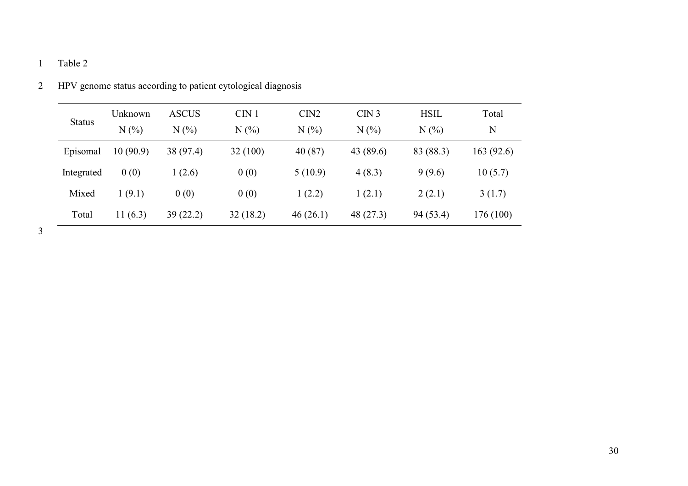# 1 Table 2

| <b>Status</b> | Unknown<br>N(% | <b>ASCUS</b><br>$N(\%)$ | CIN <sub>1</sub><br>$N(\%)$ | CIN2<br>$N(\%)$ | CIN <sub>3</sub><br>$N(\%)$ | <b>HSIL</b><br>N(% | Total<br>N |
|---------------|----------------|-------------------------|-----------------------------|-----------------|-----------------------------|--------------------|------------|
| Episomal      | 10(90.9)       | 38 (97.4)               | 32(100)                     | 40(87)          | 43 (89.6)                   | 83 (88.3)          | 163(92.6)  |
| Integrated    | 0(0)           | 1(2.6)                  | 0(0)                        | 5(10.9)         | 4(8.3)                      | 9(9.6)             | 10(5.7)    |
| Mixed         | 1(9.1)         | 0(0)                    | 0(0)                        | 1(2.2)          | 1(2.1)                      | 2(2.1)             | 3(1.7)     |
| Total         | 11 $(6.3)$     | 39(22.2)                | 32(18.2)                    | 46(26.1)        | 48 (27.3)                   | 94 (53.4)          | 176 (100)  |

| 2 HPV genome status according to patient cytological diagnosis |
|----------------------------------------------------------------|
|----------------------------------------------------------------|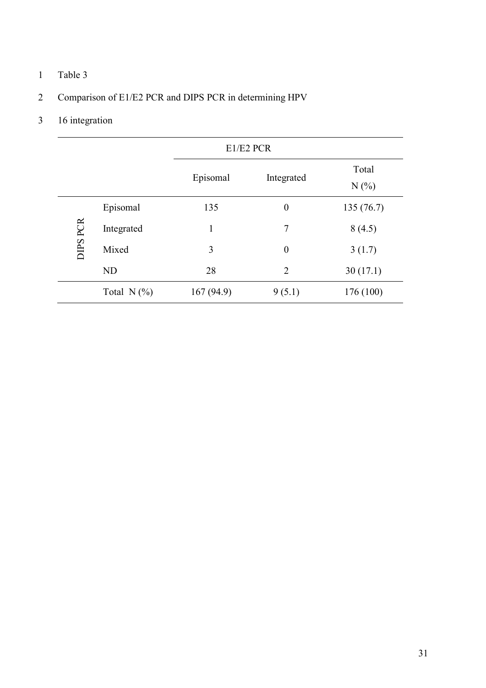## 1 Table 3

# 2 Comparison of E1/E2 PCR and DIPS PCR in determining HPV

# 3 16 integration

|          |               | E1/E2 PCR |                  |              |  |  |  |
|----------|---------------|-----------|------------------|--------------|--|--|--|
|          |               | Episomal  | Integrated       | Total<br>N(% |  |  |  |
|          | Episomal      | 135       | $\boldsymbol{0}$ | 135(76.7)    |  |  |  |
|          | Integrated    | 1         | 7                | 8(4.5)       |  |  |  |
| DIPS PCR | Mixed         | 3         | $\boldsymbol{0}$ | 3(1.7)       |  |  |  |
|          | <b>ND</b>     | 28        | $\overline{2}$   | 30(17.1)     |  |  |  |
|          | Total $N(\%)$ | 167(94.9) | 9(5.1)           | 176 (100)    |  |  |  |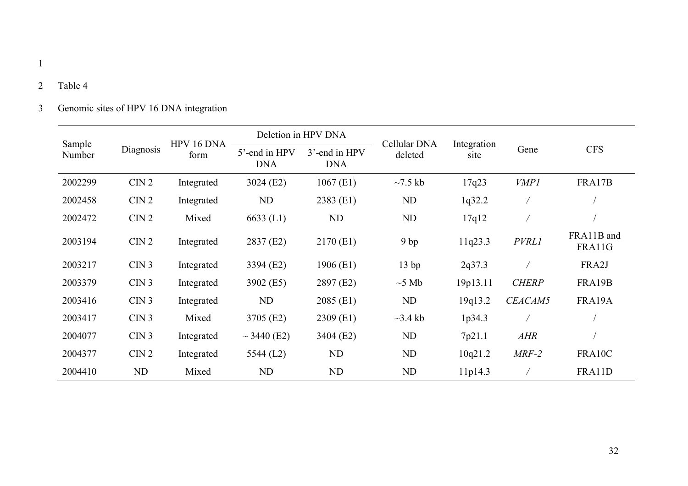## 2 Table 4

# 3 Genomic sites of HPV 16 DNA integration

|                  |                  | HPV 16 DNA | Deletion in HPV DNA         |                             | Cellular DNA  |                     |              |                      |
|------------------|------------------|------------|-----------------------------|-----------------------------|---------------|---------------------|--------------|----------------------|
| Sample<br>Number | Diagnosis        | form       | 5'-end in HPV<br><b>DNA</b> | 3'-end in HPV<br><b>DNA</b> | deleted       | Integration<br>site | Gene         | <b>CFS</b>           |
| 2002299          | CIN <sub>2</sub> | Integrated | 3024 (E2)                   | $1067$ (E1)                 | $\sim$ 7.5 kb | 17q23               | <b>VMP1</b>  | FRA17B               |
| 2002458          | CIN <sub>2</sub> | Integrated | ND                          | 2383 (E1)                   | ND            | 1q32.2              |              |                      |
| 2002472          | CIN2             | Mixed      | $6633$ (L1)                 | ND                          | ND            | 17q12               |              |                      |
| 2003194          | CIN2             | Integrated | 2837 (E2)                   | 2170 (E1)                   | 9bp           | 11q23.3             | <b>PVRL1</b> | FRA11B and<br>FRA11G |
| 2003217          | CIN <sub>3</sub> | Integrated | 3394 (E2)                   | 1906 (E1)                   | 13bp          | 2q37.3              |              | FRA2J                |
| 2003379          | CIN <sub>3</sub> | Integrated | 3902 (E5)                   | 2897 (E2)                   | $\sim$ 5 Mb   | 19p13.11            | <b>CHERP</b> | FRA19B               |
| 2003416          | CIN <sub>3</sub> | Integrated | ND                          | $2085$ (E1)                 | ND            | 19q13.2             | CEACAM5      | FRA19A               |
| 2003417          | CIN <sub>3</sub> | Mixed      | 3705 (E2)                   | $2309$ (E1)                 | $\sim$ 3.4 kb | 1p34.3              |              |                      |
| 2004077          | CIN <sub>3</sub> | Integrated | $\sim$ 3440 (E2)            | 3404 (E2)                   | ND            | 7p21.1              | AHR          |                      |
| 2004377          | CIN <sub>2</sub> | Integrated | 5544 (L2)                   | ND                          | ND            | 10q21.2             | $MRF-2$      | FRA10C               |
| 2004410          | ND               | Mixed      | ND                          | ND                          | ND            | 11p14.3             |              | FRA11D               |